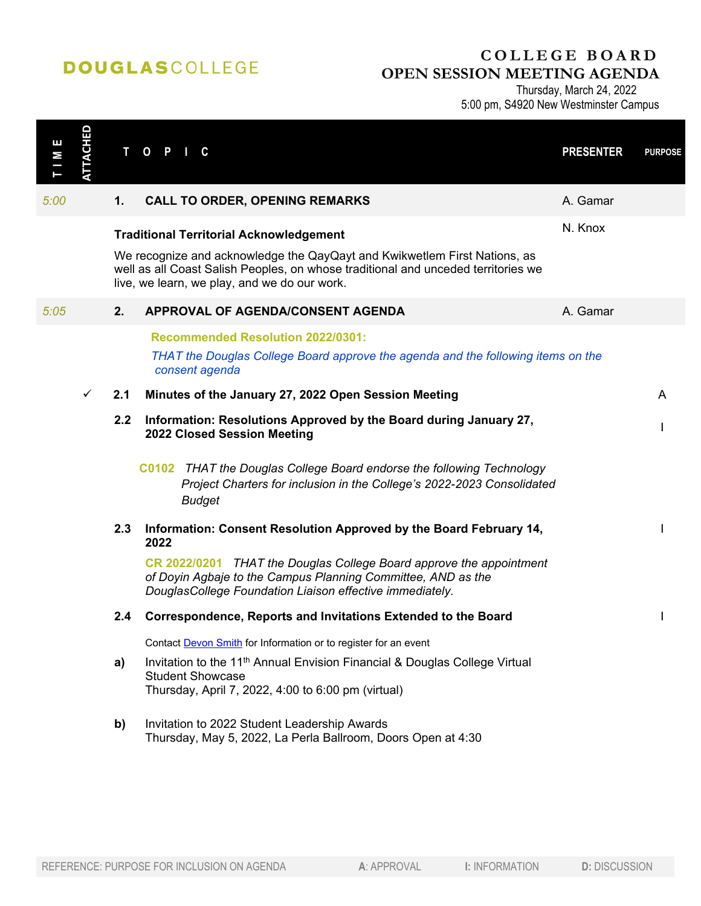## **DOUGLASCOLLEGE**

## **COLLEGE BOARD OPEN SESSION MEETING AGENDA**

Thursday, March 24, 2022 5:00 pm, S4920 New Westminster Campus

| Ш<br>М | <b>ATTACHED</b> |     | T O P I<br>C.                                                                                                                                                                                                                                                    | <b>PRESENTER</b> | <b>PURPOSE</b> |
|--------|-----------------|-----|------------------------------------------------------------------------------------------------------------------------------------------------------------------------------------------------------------------------------------------------------------------|------------------|----------------|
| 5:00   |                 | 1.  | <b>CALL TO ORDER, OPENING REMARKS</b>                                                                                                                                                                                                                            | A. Gamar         |                |
|        |                 |     | <b>Traditional Territorial Acknowledgement</b><br>We recognize and acknowledge the QayQayt and Kwikwetlem First Nations, as<br>well as all Coast Salish Peoples, on whose traditional and unceded territories we<br>live, we learn, we play, and we do our work. | N. Knox          |                |
| 5:05   |                 | 2.  | APPROVAL OF AGENDA/CONSENT AGENDA                                                                                                                                                                                                                                | A. Gamar         |                |
|        |                 |     | <b>Recommended Resolution 2022/0301:</b><br>THAT the Douglas College Board approve the agenda and the following items on the<br>consent agenda                                                                                                                   |                  |                |
|        | ✓               | 2.1 | Minutes of the January 27, 2022 Open Session Meeting                                                                                                                                                                                                             |                  | A              |
|        |                 | 2.2 | Information: Resolutions Approved by the Board during January 27,<br>2022 Closed Session Meeting                                                                                                                                                                 |                  |                |
|        |                 |     | C0102 THAT the Douglas College Board endorse the following Technology<br>Project Charters for inclusion in the College's 2022-2023 Consolidated<br><b>Budget</b>                                                                                                 |                  |                |
|        |                 | 2.3 | Information: Consent Resolution Approved by the Board February 14,<br>2022                                                                                                                                                                                       |                  |                |
|        |                 |     | CR 2022/0201 THAT the Douglas College Board approve the appointment<br>of Doyin Agbaje to the Campus Planning Committee, AND as the<br>DouglasCollege Foundation Liaison effective immediately.                                                                  |                  |                |
|        |                 | 2.4 | Correspondence, Reports and Invitations Extended to the Board                                                                                                                                                                                                    |                  |                |
|        |                 |     | Contact Devon Smith for Information or to register for an event                                                                                                                                                                                                  |                  |                |
|        |                 | a)  | Invitation to the 11 <sup>th</sup> Annual Envision Financial & Douglas College Virtual<br><b>Student Showcase</b><br>Thursday, April 7, 2022, 4:00 to 6:00 pm (virtual)                                                                                          |                  |                |
|        |                 | b)  | Invitation to 2022 Student Leadership Awards<br>Thursday, May 5, 2022, La Perla Ballroom, Doors Open at 4:30                                                                                                                                                     |                  |                |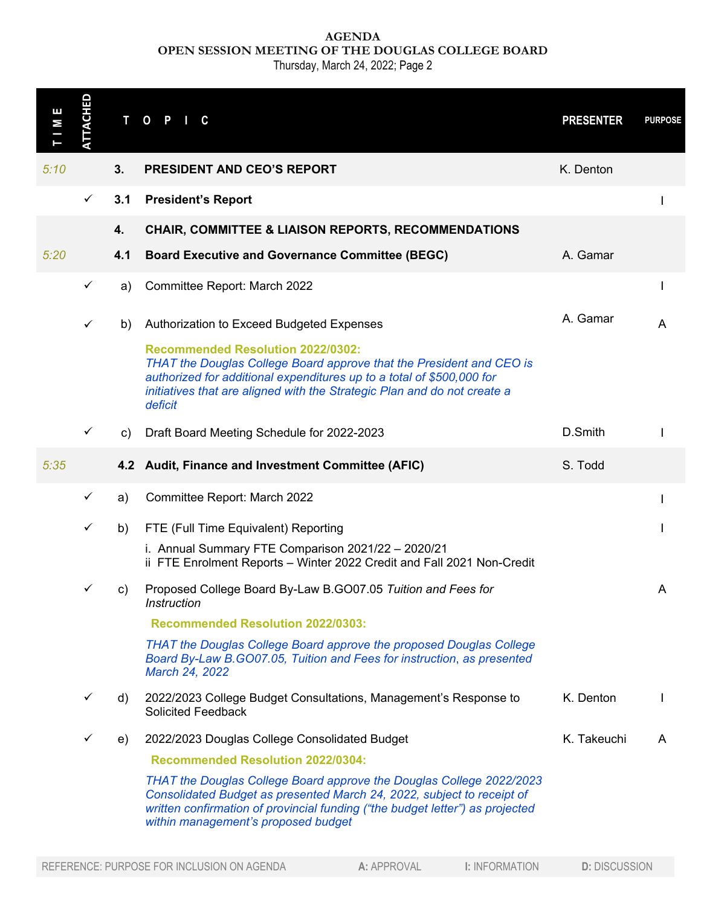**AGENDA OPEN SESSION MEETING OF THE DOUGLAS COLLEGE BOARD**

Thursday, March 24, 2022; Page 2

| Ш<br>Σ                                                                             | <b>TTACHED</b> | Т   | $\mathbf{O}$<br>P.<br>C                                                                                                                                                                                                                                                          | <b>PRESENTER</b>     | <b>PURPOSE</b> |
|------------------------------------------------------------------------------------|----------------|-----|----------------------------------------------------------------------------------------------------------------------------------------------------------------------------------------------------------------------------------------------------------------------------------|----------------------|----------------|
| 5:10                                                                               |                | 3.  | <b>PRESIDENT AND CEO'S REPORT</b>                                                                                                                                                                                                                                                | K. Denton            |                |
|                                                                                    | $\checkmark$   | 3.1 | <b>President's Report</b>                                                                                                                                                                                                                                                        |                      |                |
|                                                                                    |                | 4.  | <b>CHAIR, COMMITTEE &amp; LIAISON REPORTS, RECOMMENDATIONS</b>                                                                                                                                                                                                                   |                      |                |
| 5:20                                                                               |                | 4.1 | <b>Board Executive and Governance Committee (BEGC)</b>                                                                                                                                                                                                                           | A. Gamar             |                |
|                                                                                    | $\checkmark$   | a)  | Committee Report: March 2022                                                                                                                                                                                                                                                     |                      |                |
|                                                                                    | $\checkmark$   | b)  | Authorization to Exceed Budgeted Expenses                                                                                                                                                                                                                                        | A. Gamar             | A              |
|                                                                                    |                |     | <b>Recommended Resolution 2022/0302:</b><br>THAT the Douglas College Board approve that the President and CEO is<br>authorized for additional expenditures up to a total of \$500,000 for<br>initiatives that are aligned with the Strategic Plan and do not create a<br>deficit |                      |                |
|                                                                                    | $\checkmark$   | C)  | Draft Board Meeting Schedule for 2022-2023                                                                                                                                                                                                                                       | D.Smith              |                |
| 5:35                                                                               |                |     | 4.2 Audit, Finance and Investment Committee (AFIC)                                                                                                                                                                                                                               | S. Todd              |                |
|                                                                                    | $\checkmark$   | a)  | Committee Report: March 2022                                                                                                                                                                                                                                                     |                      |                |
|                                                                                    | $\checkmark$   | b)  | FTE (Full Time Equivalent) Reporting                                                                                                                                                                                                                                             |                      |                |
|                                                                                    |                |     | i. Annual Summary FTE Comparison 2021/22 - 2020/21<br>ii FTE Enrolment Reports - Winter 2022 Credit and Fall 2021 Non-Credit                                                                                                                                                     |                      |                |
|                                                                                    | ✓              | C)  | Proposed College Board By-Law B.GO07.05 Tuition and Fees for<br>Instruction                                                                                                                                                                                                      |                      | A              |
|                                                                                    |                |     | <b>Recommended Resolution 2022/0303:</b>                                                                                                                                                                                                                                         |                      |                |
|                                                                                    |                |     | THAT the Douglas College Board approve the proposed Douglas College<br>Board By-Law B.GO07.05, Tuition and Fees for instruction, as presented<br>March 24, 2022                                                                                                                  |                      |                |
|                                                                                    | ✓              | d)  | 2022/2023 College Budget Consultations, Management's Response to<br><b>Solicited Feedback</b>                                                                                                                                                                                    | K. Denton            |                |
|                                                                                    | ✓              | e)  | 2022/2023 Douglas College Consolidated Budget                                                                                                                                                                                                                                    | K. Takeuchi          | A              |
|                                                                                    |                |     | <b>Recommended Resolution 2022/0304:</b>                                                                                                                                                                                                                                         |                      |                |
|                                                                                    |                |     | THAT the Douglas College Board approve the Douglas College 2022/2023<br>Consolidated Budget as presented March 24, 2022, subject to receipt of<br>written confirmation of provincial funding ("the budget letter") as projected                                                  |                      |                |
| REFERENCE: PURPOSE FOR INCLUSION ON AGENDA<br>A: APPROVAL<br><b>I: INFORMATION</b> |                |     |                                                                                                                                                                                                                                                                                  | <b>D: DISCUSSION</b> |                |